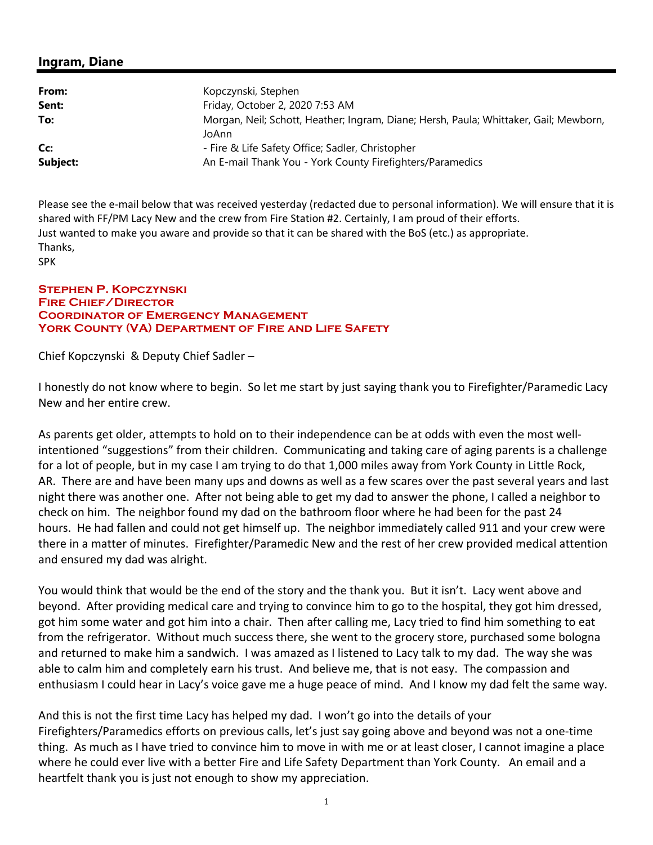#### **Ingram, Diane**

| From:    | Kopczynski, Stephen                                                                            |
|----------|------------------------------------------------------------------------------------------------|
| Sent:    | Friday, October 2, 2020 7:53 AM                                                                |
| To:      | Morgan, Neil; Schott, Heather; Ingram, Diane; Hersh, Paula; Whittaker, Gail; Mewborn,<br>JoAnn |
| Cc:      | - Fire & Life Safety Office; Sadler, Christopher                                               |
| Subject: | An E-mail Thank You - York County Firefighters/Paramedics                                      |

Please see the e-mail below that was received yesterday (redacted due to personal information). We will ensure that it is shared with FF/PM Lacy New and the crew from Fire Station #2. Certainly, I am proud of their efforts. Just wanted to make you aware and provide so that it can be shared with the BoS (etc.) as appropriate. Thanks, SPK

#### **Stephen P. Kopczynski Fire Chief/Director Coordinator of Emergency Management York County (VA) Department of Fire and Life Safety**

Chief Kopczynski & Deputy Chief Sadler –

I honestly do not know where to begin. So let me start by just saying thank you to Firefighter/Paramedic Lacy New and her entire crew.

As parents get older, attempts to hold on to their independence can be at odds with even the most well‐ intentioned "suggestions" from their children. Communicating and taking care of aging parents is a challenge for a lot of people, but in my case I am trying to do that 1,000 miles away from York County in Little Rock, AR. There are and have been many ups and downs as well as a few scares over the past several years and last night there was another one. After not being able to get my dad to answer the phone, I called a neighbor to check on him. The neighbor found my dad on the bathroom floor where he had been for the past 24 hours. He had fallen and could not get himself up. The neighbor immediately called 911 and your crew were there in a matter of minutes. Firefighter/Paramedic New and the rest of her crew provided medical attention and ensured my dad was alright.

You would think that would be the end of the story and the thank you. But it isn't. Lacy went above and beyond. After providing medical care and trying to convince him to go to the hospital, they got him dressed, got him some water and got him into a chair. Then after calling me, Lacy tried to find him something to eat from the refrigerator. Without much success there, she went to the grocery store, purchased some bologna and returned to make him a sandwich. I was amazed as I listened to Lacy talk to my dad. The way she was able to calm him and completely earn his trust. And believe me, that is not easy. The compassion and enthusiasm I could hear in Lacy's voice gave me a huge peace of mind. And I know my dad felt the same way.

And this is not the first time Lacy has helped my dad. I won't go into the details of your Firefighters/Paramedics efforts on previous calls, let's just say going above and beyond was not a one‐time thing. As much as I have tried to convince him to move in with me or at least closer, I cannot imagine a place where he could ever live with a better Fire and Life Safety Department than York County. An email and a heartfelt thank you is just not enough to show my appreciation.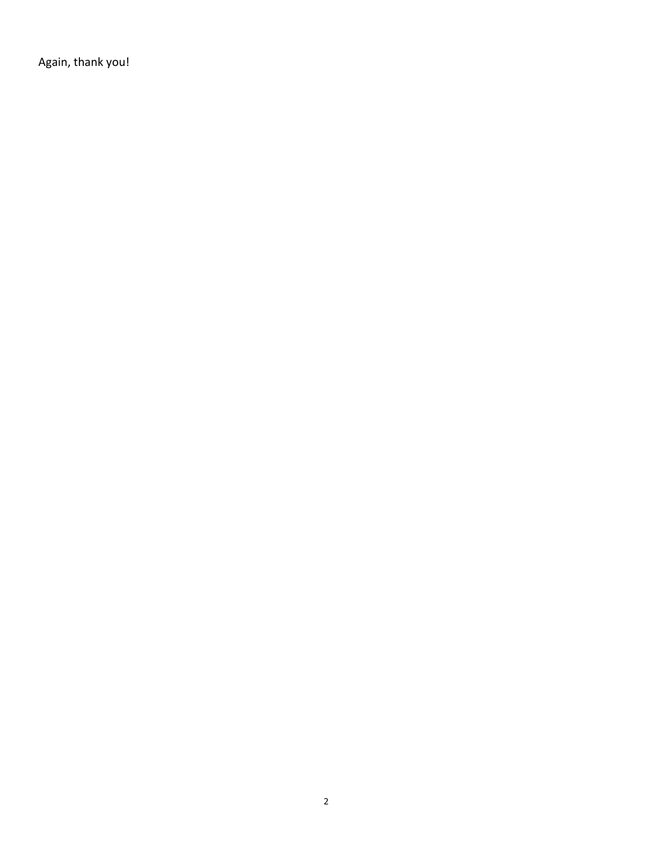Again, thank you!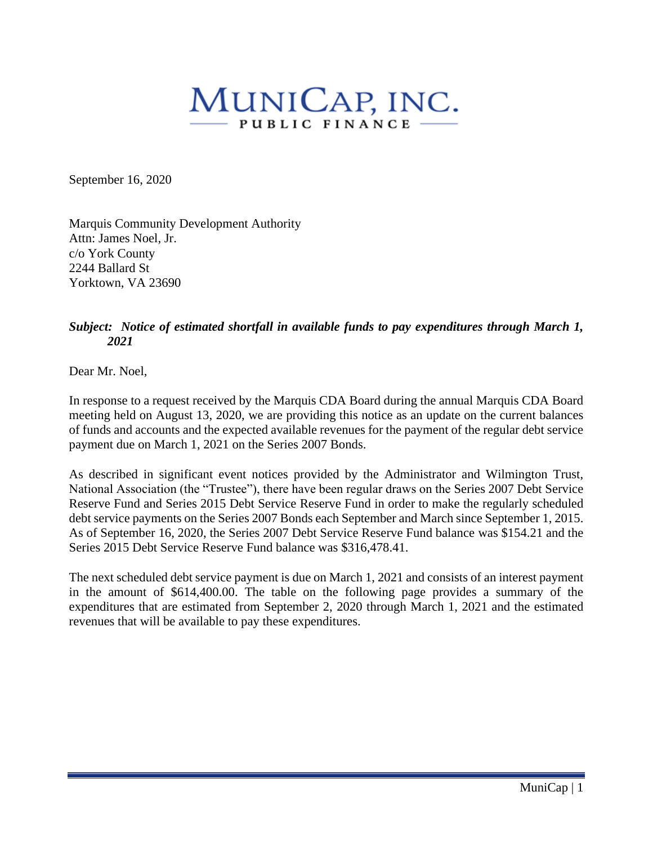# MUNICAP, INC. PUBLIC FINANCE .

September 16, 2020

Marquis Community Development Authority Attn: James Noel, Jr. c/o York County 2244 Ballard St Yorktown, VA 23690

#### *Subject: Notice of estimated shortfall in available funds to pay expenditures through March 1, 2021*

Dear Mr. Noel,

In response to a request received by the Marquis CDA Board during the annual Marquis CDA Board meeting held on August 13, 2020, we are providing this notice as an update on the current balances of funds and accounts and the expected available revenues for the payment of the regular debt service payment due on March 1, 2021 on the Series 2007 Bonds.

As described in significant event notices provided by the Administrator and Wilmington Trust, National Association (the "Trustee"), there have been regular draws on the Series 2007 Debt Service Reserve Fund and Series 2015 Debt Service Reserve Fund in order to make the regularly scheduled debt service payments on the Series 2007 Bonds each September and March since September 1, 2015. As of September 16, 2020, the Series 2007 Debt Service Reserve Fund balance was \$154.21 and the Series 2015 Debt Service Reserve Fund balance was \$316,478.41.

The next scheduled debt service payment is due on March 1, 2021 and consists of an interest payment in the amount of \$614,400.00. The table on the following page provides a summary of the expenditures that are estimated from September 2, 2020 through March 1, 2021 and the estimated revenues that will be available to pay these expenditures.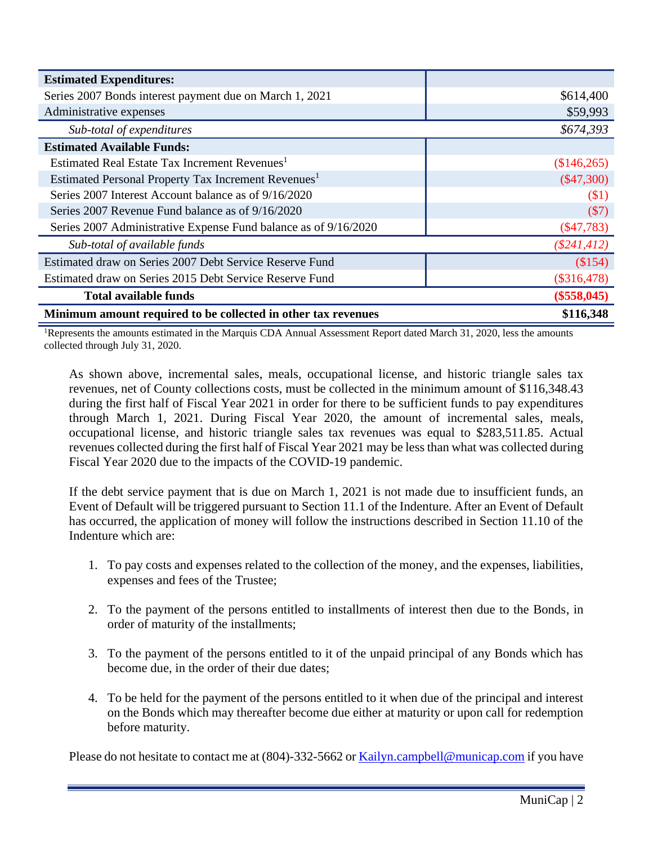| <b>Estimated Expenditures:</b>                                  |                |
|-----------------------------------------------------------------|----------------|
| Series 2007 Bonds interest payment due on March 1, 2021         | \$614,400      |
| Administrative expenses                                         | \$59,993       |
| Sub-total of expenditures                                       | \$674,393      |
| <b>Estimated Available Funds:</b>                               |                |
| Estimated Real Estate Tax Increment Revenues <sup>1</sup>       | (\$146,265)    |
| Estimated Personal Property Tax Increment Revenues <sup>1</sup> | $(\$47,300)$   |
| Series 2007 Interest Account balance as of 9/16/2020            | (\$1)          |
| Series 2007 Revenue Fund balance as of 9/16/2020                | (\$7)          |
| Series 2007 Administrative Expense Fund balance as of 9/16/2020 | $(\$47,783)$   |
| Sub-total of available funds                                    | $(\$241, 412)$ |
| Estimated draw on Series 2007 Debt Service Reserve Fund         | (\$154)        |
| Estimated draw on Series 2015 Debt Service Reserve Fund         | $(\$316,478)$  |
| <b>Total available funds</b>                                    | $(\$558,045)$  |
| Minimum amount required to be collected in other tax revenues   | \$116,348      |

<sup>1</sup>Represents the amounts estimated in the Marquis CDA Annual Assessment Report dated March 31, 2020, less the amounts collected through July 31, 2020.

As shown above, incremental sales, meals, occupational license, and historic triangle sales tax revenues, net of County collections costs, must be collected in the minimum amount of \$116,348.43 during the first half of Fiscal Year 2021 in order for there to be sufficient funds to pay expenditures through March 1, 2021. During Fiscal Year 2020, the amount of incremental sales, meals, occupational license, and historic triangle sales tax revenues was equal to \$283,511.85. Actual revenues collected during the first half of Fiscal Year 2021 may be less than what was collected during Fiscal Year 2020 due to the impacts of the COVID-19 pandemic.

If the debt service payment that is due on March 1, 2021 is not made due to insufficient funds, an Event of Default will be triggered pursuant to Section 11.1 of the Indenture. After an Event of Default has occurred, the application of money will follow the instructions described in Section 11.10 of the Indenture which are:

- 1. To pay costs and expenses related to the collection of the money, and the expenses, liabilities, expenses and fees of the Trustee;
- 2. To the payment of the persons entitled to installments of interest then due to the Bonds, in order of maturity of the installments;
- 3. To the payment of the persons entitled to it of the unpaid principal of any Bonds which has become due, in the order of their due dates;
- 4. To be held for the payment of the persons entitled to it when due of the principal and interest on the Bonds which may thereafter become due either at maturity or upon call for redemption before maturity.

Please do not hesitate to contact me at (804)-332-5662 or **[Kailyn.campbell@municap.com](mailto:Kailyn.campbell@municap.com)** if you have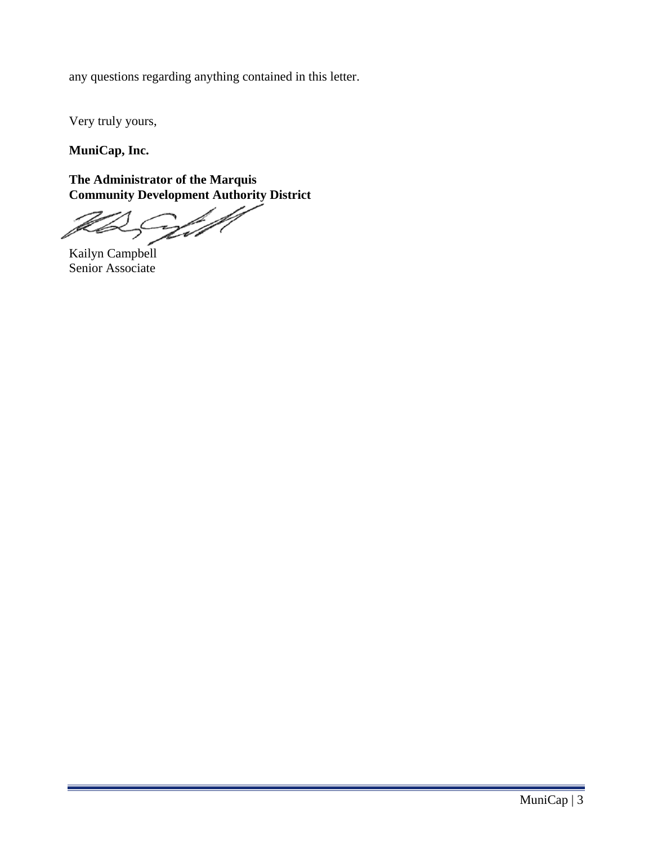any questions regarding anything contained in this letter.

Very truly yours,

**MuniCap, Inc.**

**The Administrator of the Marquis Community Development Authority District**

Vill

Kailyn Campbell Senior Associate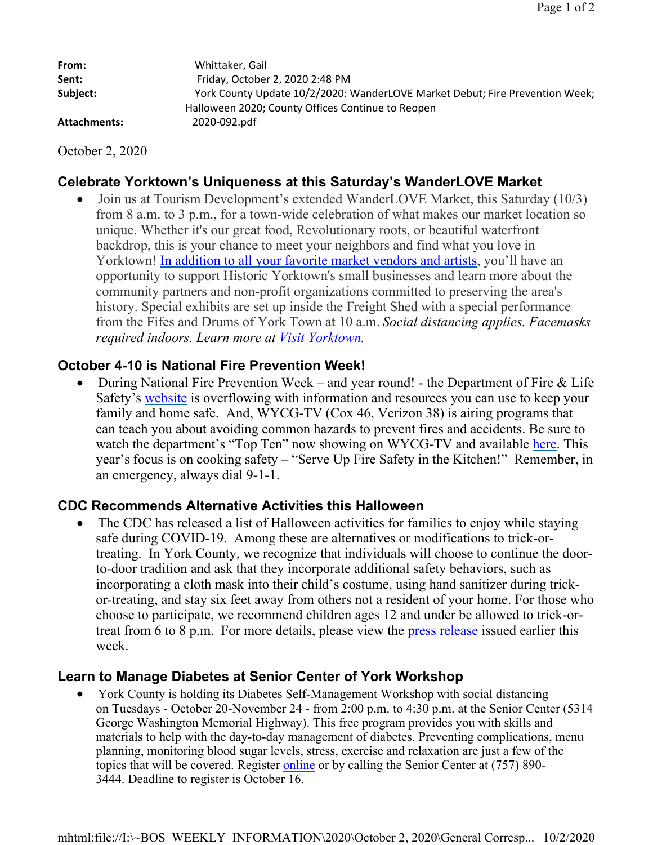| From:        | Whittaker, Gail                                                              |
|--------------|------------------------------------------------------------------------------|
| Sent:        | Friday, October 2, 2020 2:48 PM                                              |
| Subject:     | York County Update 10/2/2020: WanderLOVE Market Debut; Fire Prevention Week; |
|              | Halloween 2020; County Offices Continue to Reopen                            |
| Attachments: | 2020-092.pdf                                                                 |
|              |                                                                              |

October 2, 2020

# **Celebrate Yorktown's Uniqueness at this Saturday's WanderLOVE Market**

 Join us at Tourism Development's extended WanderLOVE Market, this Saturday (10/3) from 8 a.m. to 3 p.m., for a town-wide celebration of what makes our market location so unique. Whether it's our great food, Revolutionary roots, or beautiful waterfront backdrop, this is your chance to meet your neighbors and find what you love in Yorktown! In addition to all your favorite market vendors and artists, you'll have an opportunity to support Historic Yorktown's small businesses and learn more about the community partners and non-profit organizations committed to preserving the area's history. Special exhibits are set up inside the Freight Shed with a special performance from the Fifes and Drums of York Town at 10 a.m. *Social distancing applies. Facemasks required indoors. Learn more at Visit Yorktown.*

# **October 4-10 is National Fire Prevention Week!**

 During National Fire Prevention Week – and year round! - the Department of Fire & Life Safety's website is overflowing with information and resources you can use to keep your family and home safe. And, WYCG-TV (Cox 46, Verizon 38) is airing programs that can teach you about avoiding common hazards to prevent fires and accidents. Be sure to watch the department's "Top Ten" now showing on WYCG-TV and available here. This year's focus is on cooking safety – "Serve Up Fire Safety in the Kitchen!" Remember, in an emergency, always dial 9-1-1.

## **CDC Recommends Alternative Activities this Halloween**

 The CDC has released a list of Halloween activities for families to enjoy while staying safe during COVID-19. Among these are alternatives or modifications to trick-ortreating. In York County, we recognize that individuals will choose to continue the doorto-door tradition and ask that they incorporate additional safety behaviors, such as incorporating a cloth mask into their child's costume, using hand sanitizer during trickor-treating, and stay six feet away from others not a resident of your home. For those who choose to participate, we recommend children ages 12 and under be allowed to trick-ortreat from 6 to 8 p.m. For more details, please view the press release issued earlier this week.

## **Learn to Manage Diabetes at Senior Center of York Workshop**

 York County is holding its Diabetes Self-Management Workshop with social distancing on Tuesdays - October 20-November 24 - from 2:00 p.m. to 4:30 p.m. at the Senior Center (5314 George Washington Memorial Highway). This free program provides you with skills and materials to help with the day-to-day management of diabetes. Preventing complications, menu planning, monitoring blood sugar levels, stress, exercise and relaxation are just a few of the topics that will be covered. Register online or by calling the Senior Center at (757) 890- 3444. Deadline to register is October 16.